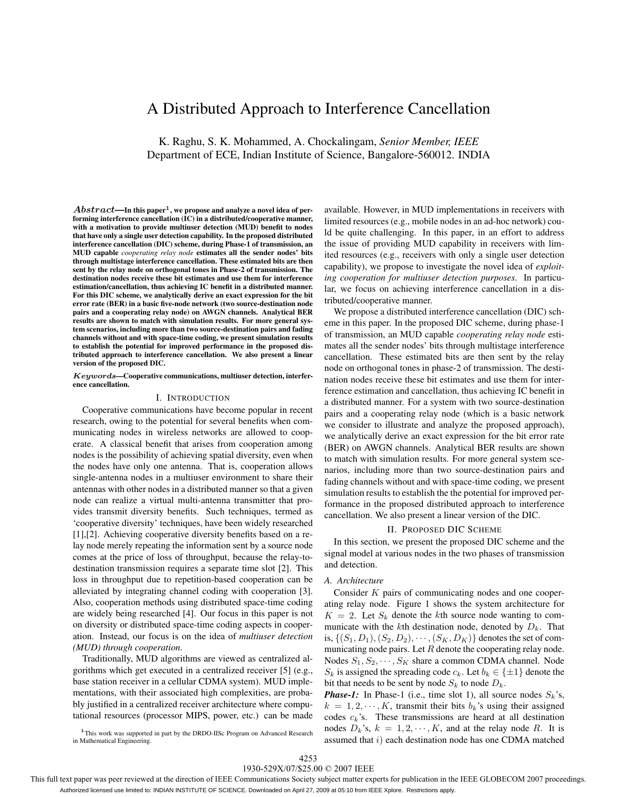# A Distributed Approach to Interference Cancellation

K. Raghu, S. K. Mohammed, A. Chockalingam, *Senior Member, IEEE* Department of ECE, Indian Institute of Science, Bangalore-560012. INDIA

 $Abstract$ —In this paper<sup>1</sup>, we propose and analyze a novel idea of per**forming interference cancellation (IC) in a distributed/cooperative manner, with a motivation to provide multiuser detection (MUD) benefit to nodes that have only a single user detection capability. In the proposed distributed interference cancellation (DIC) scheme, during Phase-1 of transmission, an MUD capable** *cooperating relay node* **estimates all the sender nodes' bits through multistage interference cancellation. These estimated bits are then sent by the relay node on orthogonal tones in Phase-2 of transmission. The destination nodes receive these bit estimates and use them for interference estimation/cancellation, thus achieving IC benefit in a distributed manner. For this DIC scheme, we analytically derive an exact expression for the bit error rate (BER) in a basic five-node network (two source-destination node pairs and a cooperating relay node) on AWGN channels. Analytical BER results are shown to match with simulation results. For more general system scenarios, including more than two source-destination pairs and fading channels without and with space-time coding, we present simulation results to establish the potential for improved performance in the proposed distributed approach to interference cancellation. We also present a linear version of the proposed DIC.**

#### *Keywords***—Cooperative communications, multiuser detection, interference cancellation.**

#### I. INTRODUCTION

Cooperative communications have become popular in recent research, owing to the potential for several benefits when communicating nodes in wireless networks are allowed to cooperate. A classical benefit that arises from cooperation among nodes is the possibility of achieving spatial diversity, even when the nodes have only one antenna. That is, cooperation allows single-antenna nodes in a multiuser environment to share their antennas with other nodes in a distributed manner so that a given node can realize a virtual multi-antenna transmitter that provides transmit diversity benefits. Such techniques, termed as 'cooperative diversity' techniques, have been widely researched [1],[2]. Achieving cooperative diversity benefits based on a relay node merely repeating the information sent by a source node comes at the price of loss of throughput, because the relay-todestination transmission requires a separate time slot [2]. This loss in throughput due to repetition-based cooperation can be alleviated by integrating channel coding with cooperation [3]. Also, cooperation methods using distributed space-time coding are widely being researched [4]. Our focus in this paper is not on diversity or distributed space-time coding aspects in cooperation. Instead, our focus is on the idea of *multiuser detection (MUD) through cooperation*.

Traditionally, MUD algorithms are viewed as centralized algorithms which get executed in a centralized receiver [5] (e.g., base station receiver in a cellular CDMA system). MUD implementations, with their associated high complexities, are probably justified in a centralized receiver architecture where computational resources (processor MIPS, power, etc.) can be made

**<sup>1</sup>**This work was supported in part by the DRDO-IISc Program on Advanced Research in Mathematical Engineering.

available. However, in MUD implementations in receivers with limited resources (e.g., mobile nodes in an ad-hoc network) could be quite challenging. In this paper, in an effort to address the issue of providing MUD capability in receivers with limited resources (e.g., receivers with only a single user detection capability), we propose to investigate the novel idea of *exploiting cooperation for multiuser detection purposes*. In particular, we focus on achieving interference cancellation in a distributed/cooperative manner.

We propose a distributed interference cancellation (DIC) scheme in this paper. In the proposed DIC scheme, during phase-1 of transmission, an MUD capable *cooperating relay node* estimates all the sender nodes' bits through multistage interference cancellation. These estimated bits are then sent by the relay node on orthogonal tones in phase-2 of transmission. The destination nodes receive these bit estimates and use them for interference estimation and cancellation, thus achieving IC benefit in a distributed manner. For a system with two source-destination pairs and a cooperating relay node (which is a basic network we consider to illustrate and analyze the proposed approach), we analytically derive an exact expression for the bit error rate (BER) on AWGN channels. Analytical BER results are shown to match with simulation results. For more general system scenarios, including more than two source-destination pairs and fading channels without and with space-time coding, we present simulation results to establish the the potential for improved performance in the proposed distributed approach to interference cancellation. We also present a linear version of the DIC.

# II. PROPOSED DIC SCHEME

In this section, we present the proposed DIC scheme and the signal model at various nodes in the two phases of transmission and detection.

#### *A. Architecture*

Consider *K* pairs of communicating nodes and one cooperating relay node. Figure 1 shows the system architecture for  $K = 2$ . Let  $S_k$  denote the *k*th source node wanting to communicate with the  $k$ th destination node, denoted by  $D_k$ . That is,  $\{(S_1, D_1), (S_2, D_2), \cdots, (S_K, D_K)\}\$  denotes the set of communicating node pairs. Let *R* denote the cooperating relay node. Nodes  $S_1, S_2, \cdots, S_K$  share a common CDMA channel. Node  $S_k$  is assigned the spreading code  $c_k$ . Let  $b_k \in \{\pm 1\}$  denote the bit that needs to be sent by node  $S_k$  to node  $D_k$ .

**Phase-1:** In Phase-1 (i.e., time slot 1), all source nodes  $S_k$ 's,  $k = 1, 2, \dots, K$ , transmit their bits  $b_k$ 's using their assigned codes  $c_k$ 's. These transmissions are heard at all destination nodes  $D_k$ 's,  $k = 1, 2, \dots, K$ , and at the relay node R. It is assumed that *i*) each destination node has one CDMA matched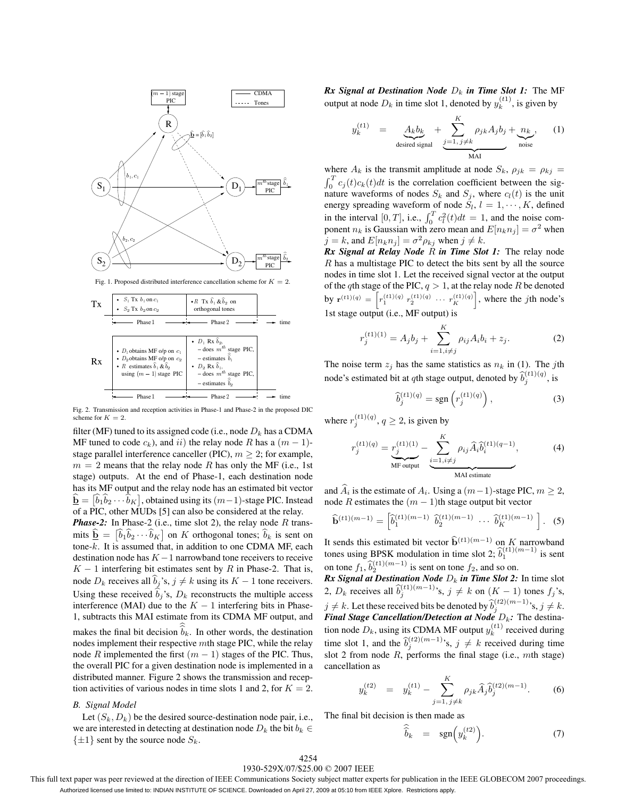

Fig. 2. Transmission and reception activities in Phase-1 and Phase-2 in the proposed DIC scheme for  $K = 2$ .

filter (MF) tuned to its assigned code (i.e., node  $D_k$  has a CDMA MF tuned to code  $c_k$ ), and  $ii$  the relay node R has a  $(m-1)$ stage parallel interference canceller (PIC),  $m \geq 2$ ; for example, *m* = 2 means that the relay node *R* has only the MF (i.e., 1st stage) outputs. At the end of Phase-1, each destination node has its MF output and the relay node has an estimated bit vector  $\mathbf{\hat{b}} = [\hat{b}_1 \hat{b}_2 \cdots \hat{b}_K]$ , obtained using its  $(m-1)$ -stage PIC. Instead of a PIC, other MUDs [5] can also be considered at the relay.

*Phase-2:* In Phase-2 (i.e., time slot 2), the relay node *R* transmits  $\widehat{\mathbf{b}} = [\widehat{b}_1 \widehat{b}_2 \cdots \widehat{b}_K]$  on *K* orthogonal tones;  $\widehat{b}_k$  is sent on tone-*k*. It is assumed that, in addition to one CDMA MF, each destination node has *K* −1 narrowband tone receivers to receive *K* − 1 interfering bit estimates sent by *R* in Phase-2. That is, node *D<sub>k</sub>* receives all  $\hat{b}_j$ 's,  $j \neq k$  using its *K* − 1 tone receivers. Using these received  $\hat{b}_j$ 's,  $D_k$  reconstructs the multiple access interference (MAI) due to the  $K - 1$  interfering bits in Phase-1, subtracts this MAI estimate from its CDMA MF output, and makes the final bit decision  $\hat{b}_k$ . In other words, the destination nodes implement their respective *m*th stage PIC, while the relay node *R* implemented the first  $(m - 1)$  stages of the PIC. Thus, the overall PIC for a given destination node is implemented in a distributed manner. Figure 2 shows the transmission and reception activities of various nodes in time slots 1 and 2, for  $K = 2$ .

# *B. Signal Model*

Let  $(S_k, D_k)$  be the desired source-destination node pair, i.e., we are interested in detecting at destination node  $D_k$  the bit  $b_k \in$  $\{\pm 1\}$  sent by the source node  $S_k$ .

**Rx Signal at Destination Node**  $D_k$  *in Time Slot 1:* The MF output at node  $D_k$  in time slot 1, denoted by  $y_k^{(t_1)}$ , is given by

$$
y_k^{(t1)} = \underbrace{A_k b_k}_{\text{desired signal}} + \underbrace{\sum_{j=1, j \neq k}^{K} \rho_{jk} A_j b_j}_{\text{MAI}} + \underbrace{n_k}_{\text{noise}}, \quad (1)
$$

 $\int_0^T c_j(t) c_k(t) dt$  is the correlation coefficient between the sigwhere  $A_k$  is the transmit amplitude at node  $S_k$ ,  $\rho_{jk} = \rho_{kj}$ nature waveforms of nodes  $S_k$  and  $S_j$ , where  $c_l(t)$  is the unit energy spreading waveform of node  $S_l$ ,  $l = 1, \dots, K$ , defined in the interval [0, T], i.e.,  $\int_0^T c_l^2(t) dt = 1$ , and the noise component *n*<sub>k</sub> is Gaussian with zero mean and  $E[n_k n_j] = \sigma^2$  when  $j = k$ , and  $E[n_k n_j] = \sigma^2 \rho_{kj}$  when  $j \neq k$ .

*Rx Signal at Relay Node R in Time Slot 1:* The relay node *R* has a multistage PIC to detect the bits sent by all the source nodes in time slot 1. Let the received signal vector at the output of the *q*th stage of the PIC,  $q > 1$ , at the relay node R be denoted by  $\mathbf{r}^{(t1)(q)} = \left[ r_1^{(t1)(q)} r_2^{(t1)(q)} \cdots r_K^{(t1)(q)} \right]$ , where the *j*th node's 1st stage output (i.e., MF output) is

$$
r_j^{(t1)(1)} = A_j b_j + \sum_{i=1, i \neq j}^{K} \rho_{ij} A_i b_i + z_j.
$$
 (2)

The noise term  $z_j$  has the same statistics as  $n_k$  in (1). The *j*th node's estimated bit at *q*th stage output, denoted by  $\hat{b}_j^{(t_1)(q)}$ , is

$$
\widehat{b}_j^{(t1)(q)} = \text{sgn}\left(r_j^{(t1)(q)}\right),\tag{3}
$$

where  $r_j^{(t1)(q)}$ ,  $q \ge 2$ , is given by

$$
r_j^{(t1)(q)} = \underbrace{r_j^{(t1)(1)}}_{\text{MF output}} - \underbrace{\sum_{i=1, i \neq j}^{K} \rho_{ij} \widehat{A}_i \widehat{b}_i^{(t1)(q-1)}}_{\text{MAI estimate}},
$$
(4)

and  $A_i$  is the estimate of  $A_i$ . Using a  $(m-1)$ -stage PIC,  $m \geq 2$ , node *R* estimates the  $(m - 1)$ th stage output bit vector

$$
\widehat{\mathbf{b}}^{(t1)(m-1)} = \left[\widehat{b}_1^{(t1)(m-1)} \ \widehat{b}_2^{(t1)(m-1)} \ \cdots \ \widehat{b}_K^{(t1)(m-1)}\right]. \tag{5}
$$

It sends this estimated bit vector  $\mathbf{b}^{(t)}(m-1)$  on *K* narrowband tones using BPSK modulation in time slot 2;  $\hat{b}_1^{(t)}(m-1)$  is sent on tone  $f_1$ ,  $\hat{b}_2^{(t)}(m-1)$  is sent on tone  $f_2$ , and so on.

*Rx Signal at Destination Node D*<sup>k</sup> *in Time Slot 2:* In time slot 2,  $D_k$  receives all  $\hat{b}_j^{(t_1)(m-1)}$ 's,  $j \neq k$  on  $(K-1)$  tones  $f_j$ 's, *j* ≠ *k*. Let these received bits be denoted by  $\hat{b}_j^{(t_2)(m-1)}$ 's,  $j \neq k$ . *Final Stage Cancellation/Detection at Node*  $D_k$ *: The destina*tion node  $D_k$ , using its CDMA MF output  $y_k^{(t_1)}$  received during time slot 1, and the  $\hat{b}_j^{(t2)(m-1)}$ 's,  $j \neq k$  received during time slot 2 from node *R*, performs the final stage (i.e., *m*th stage) cancellation as

$$
y_k^{(t2)} = y_k^{(t1)} - \sum_{j=1, j \neq k}^{K} \rho_{jk} \widehat{A}_j \widehat{b}_j^{(t2)(m-1)}.
$$
 (6)

The final bit decision is then made as

$$
\widehat{\widehat{b}}_k = \operatorname{sgn}\left(y_k^{(t2)}\right). \tag{7}
$$

## 1930-529X/07/\$25.00 © 2007 IEEE 4254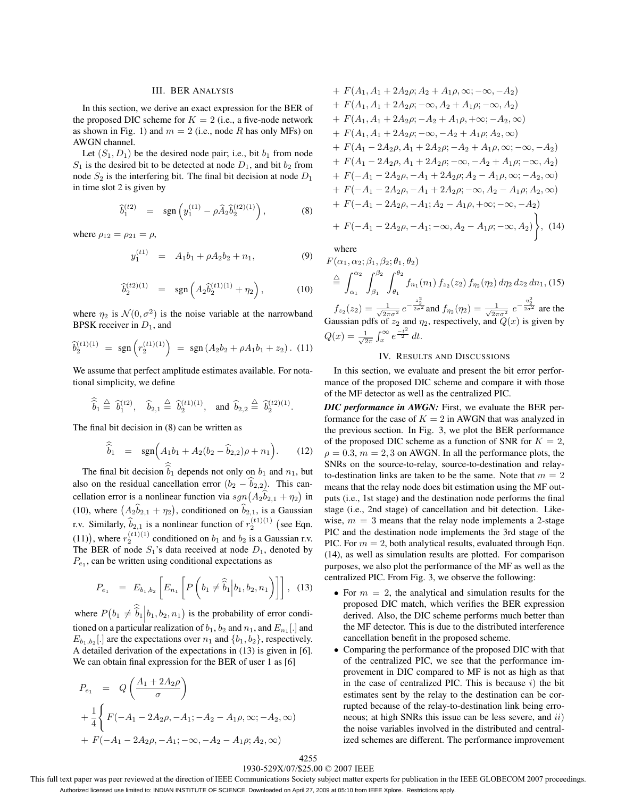## III. BER ANALYSIS

In this section, we derive an exact expression for the BER of the proposed DIC scheme for  $K = 2$  (i.e., a five-node network as shown in Fig. 1) and  $m = 2$  (i.e., node R has only MFs) on AWGN channel.

Let  $(S_1, D_1)$  be the desired node pair; i.e., bit  $b_1$  from node  $S_1$  is the desired bit to be detected at node  $D_1$ , and bit  $b_2$  from node  $S_2$  is the interfering bit. The final bit decision at node  $D_1$ in time slot 2 is given by

$$
\widehat{b}_1^{(t2)} = \operatorname{sgn}\left(y_1^{(t1)} - \rho \widehat{A}_2 \widehat{b}_2^{(t2)(1)}\right), \tag{8}
$$

where  $\rho_{12} = \rho_{21} = \rho$ ,

$$
y_1^{(t1)} = A_1b_1 + \rho A_2b_2 + n_1, \tag{9}
$$

$$
\widehat{b}_2^{(t2)(1)} = \operatorname{sgn}\left(A_2 \widehat{b}_2^{(t1)(1)} + \eta_2\right), \tag{10}
$$

where  $\eta_2$  is  $\mathcal{N}(0, \sigma^2)$  is the noise variable at the narrowband BPSK receiver in *D*1, and

$$
\widehat{b}_2^{(t1)(1)} = \text{sgn}\left(r_2^{(t1)(1)}\right) = \text{sgn}\left(A_2b_2 + \rho A_1b_1 + z_2\right). (11)
$$

We assume that perfect amplitude estimates available. For notational simplicity, we define

$$
\widehat{\hat{b}}_1 \stackrel{\triangle}{=} \widehat{b}_1^{(t2)}, \quad \widehat{b}_{2,1} \stackrel{\triangle}{=} \widehat{b}_2^{(t1)(1)}, \quad \text{and } \widehat{b}_{2,2} \stackrel{\triangle}{=} \widehat{b}_2^{(t2)(1)}.
$$

The final bit decision in (8) can be written as

$$
\widehat{\hat{b}}_1 = \text{sgn}\Big(A_1b_1 + A_2(b_2 - \widehat{b}_{2,2})\rho + n_1\Big). \tag{12}
$$

The final bit decision  $\hat{b}_1$  depends not only on  $b_1$  and  $n_1$ , but also on the residual cancellation error  $(b_2 - b_{2,2})$ . This cancellation error is a nonlinear function via  $sgn(A_2\hat{b}_{2,1} + \eta_2)$  in (10), where  $(A_2\hat{b}_{2,1} + \eta_2)$ , conditioned on  $\hat{b}_{2,1}$ , is a Gaussian r.v. Similarly,  $\hat{b}_{2,1}$  is a nonlinear function of  $r_2^{(t_1)(1)}$  (see Eqn. (11)), where  $r_2^{(t_1)(1)}$  conditioned on  $b_1$  and  $b_2$  is a Gaussian r.v. The BER of node  $S_1$ 's data received at node  $D_1$ , denoted by  $P_{e_1}$ , can be written using conditional expectations as

$$
P_{e_1} = E_{b_1, b_2} \left[ E_{n_1} \left[ P \left( b_1 \neq \hat{b}_1 \middle| b_1, b_2, n_1 \right) \right] \right], (13)
$$

where  $P(b_1 \neq \hat{b}_1 | b_1, b_2, n_1)$  is the probability of error conditioned on a particular realization of  $b_1$ ,  $b_2$  and  $n_1$ , and  $E_{n_1}$ [*.*] and  $E_{b_1,b_2}$ . are the expectations over  $n_1$  and  $\{b_1,b_2\}$ , respectively. A detailed derivation of the expectations in (13) is given in [6]. We can obtain final expression for the BER of user 1 as [6]

$$
P_{e_1} = Q\left(\frac{A_1 + 2A_2\rho}{\sigma}\right)
$$
  
+  $\frac{1}{4}$   $F(-A_1 - 2A_2\rho, -A_1; -A_2 - A_1\rho, \infty; -A_2, \infty)$   
+  $F(-A_1 - 2A_2\rho, -A_1; -\infty, -A_2 - A_1\rho; A_2, \infty)$ 

+ 
$$
F(A_1, A_1 + 2A_2\rho; A_2 + A_1\rho, \infty; -\infty, -A_2)
$$
  
+  $F(A_1, A_1 + 2A_2\rho; -\infty, A_2 + A_1\rho; -\infty, A_2)$   
+  $F(A_1, A_1 + 2A_2\rho; -A_2 + A_1\rho, +\infty; -A_2, \infty)$   
+  $F(A_1, A_1 + 2A_2\rho; -\infty, -A_2 + A_1\rho; A_2, \infty)$   
+  $F(A_1 - 2A_2\rho, A_1 + 2A_2\rho; -A_2 + A_1\rho, \infty; -\infty, -A_2)$   
+  $F(A_1 - 2A_2\rho, A_1 + 2A_2\rho; -\infty, -A_2 + A_1\rho; -\infty, A_2)$   
+  $F(-A_1 - 2A_2\rho, -A_1 + 2A_2\rho; A_2 - A_1\rho, \infty; -A_2, \infty)$   
+  $F(-A_1 - 2A_2\rho, -A_1 + 2A_2\rho; -\infty, A_2 - A_1\rho; A_2, \infty)$   
+  $F(-A_1 - 2A_2\rho, -A_1; A_2 - A_1\rho, +\infty; -\infty, -A_2)$   
+  $F(-A_1 - 2A_2\rho, -A_1; -\infty, A_2 - A_1\rho; -\infty, A_2)$ 

where

$$
F(\alpha_1, \alpha_2; \beta_1, \beta_2; \theta_1, \theta_2)
$$
  
\n
$$
\stackrel{\triangle}{=} \int_{\alpha_1}^{\alpha_2} \int_{\beta_1}^{\beta_2} \int_{\theta_1}^{\theta_2} f_{n_1}(n_1) f_{z_2}(z_2) f_{\eta_2}(\eta_2) d\eta_2 dz_2 dn_1,
$$
\n(15)

 $f_{z_2}(z_2) = \frac{1}{\sqrt{2\pi\sigma^2}} e^{-\frac{z_2^2}{2\sigma^2}}$  and  $f_{\eta_2}(\eta_2) = \frac{1}{\sqrt{2\pi\sigma^2}} e^{-\frac{\eta_2^2}{2\sigma^2}}$  are the Gaussian pdfs of  $z_2$  and  $\eta_2$ , respectively, and  $Q(x)$  is given by  $Q(x) = \frac{1}{\sqrt{2\pi}} \int_x^{\infty} e^{\frac{-t^2}{2}} dt.$ 

# IV. RESULTS AND DISCUSSIONS

In this section, we evaluate and present the bit error performance of the proposed DIC scheme and compare it with those of the MF detector as well as the centralized PIC.

*DIC performance in AWGN:* First, we evaluate the BER performance for the case of  $K = 2$  in AWGN that was analyzed in the previous section. In Fig. 3, we plot the BER performance of the proposed DIC scheme as a function of SNR for  $K = 2$ ,  $\rho = 0.3$ ,  $m = 2, 3$  on AWGN. In all the performance plots, the SNRs on the source-to-relay, source-to-destination and relayto-destination links are taken to be the same. Note that  $m = 2$ means that the relay node does bit estimation using the MF outputs (i.e., 1st stage) and the destination node performs the final stage (i.e., 2nd stage) of cancellation and bit detection. Likewise,  $m = 3$  means that the relay node implements a 2-stage PIC and the destination node implements the 3rd stage of the PIC. For  $m = 2$ , both analytical results, evaluated through Eqn. (14), as well as simulation results are plotted. For comparison purposes, we also plot the performance of the MF as well as the centralized PIC. From Fig. 3, we observe the following:

- For  $m = 2$ , the analytical and simulation results for the proposed DIC match, which verifies the BER expression derived. Also, the DIC scheme performs much better than the MF detector. This is due to the distributed interference cancellation benefit in the proposed scheme.
- Comparing the performance of the proposed DIC with that of the centralized PIC, we see that the performance improvement in DIC compared to MF is not as high as that in the case of centralized PIC. This is because *i*) the bit estimates sent by the relay to the destination can be corrupted because of the relay-to-destination link being erroneous; at high SNRs this issue can be less severe, and *ii*) the noise variables involved in the distributed and centralized schemes are different. The performance improvement

# 1930-529X/07/\$25.00 © 2007 IEEE 4255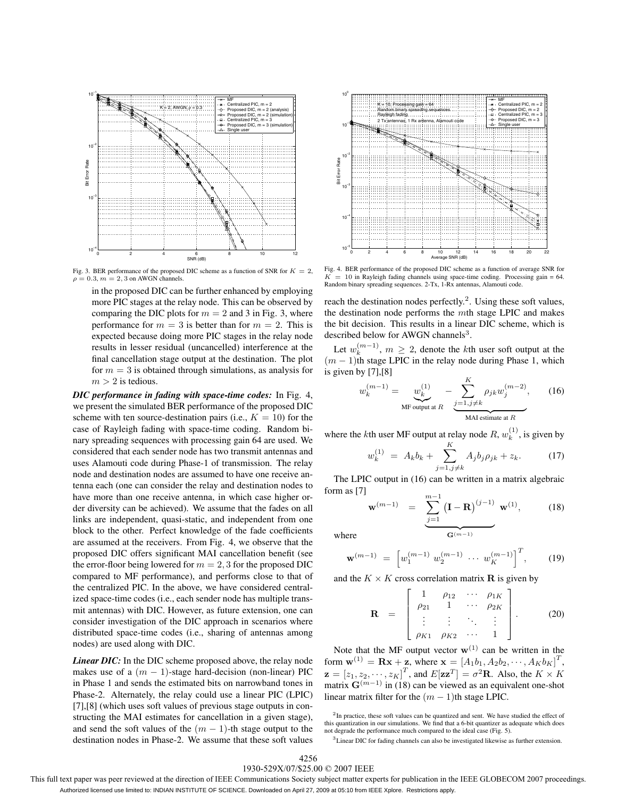

Fig. 3. BER performance of the proposed DIC scheme as a function of SNR for  $K = 2$ ,  $\rho = 0.3, m = 2, 3$  on AWGN channels.

in the proposed DIC can be further enhanced by employing more PIC stages at the relay node. This can be observed by comparing the DIC plots for  $m = 2$  and 3 in Fig. 3, where performance for  $m = 3$  is better than for  $m = 2$ . This is expected because doing more PIC stages in the relay node results in lesser residual (uncancelled) interference at the final cancellation stage output at the destination. The plot for  $m = 3$  is obtained through simulations, as analysis for  $m > 2$  is tedious.

*DIC performance in fading with space-time codes:* In Fig. 4, we present the simulated BER performance of the proposed DIC scheme with ten source-destination pairs (i.e.,  $K = 10$ ) for the case of Rayleigh fading with space-time coding. Random binary spreading sequences with processing gain 64 are used. We considered that each sender node has two transmit antennas and uses Alamouti code during Phase-1 of transmission. The relay node and destination nodes are assumed to have one receive antenna each (one can consider the relay and destination nodes to have more than one receive antenna, in which case higher order diversity can be achieved). We assume that the fades on all links are independent, quasi-static, and independent from one block to the other. Perfect knowledge of the fade coefficients are assumed at the receivers. From Fig. 4, we observe that the proposed DIC offers significant MAI cancellation benefit (see the error-floor being lowered for  $m = 2, 3$  for the proposed DIC compared to MF performance), and performs close to that of the centralized PIC. In the above, we have considered centralized space-time codes (i.e., each sender node has multiple transmit antennas) with DIC. However, as future extension, one can consider investigation of the DIC approach in scenarios where distributed space-time codes (i.e., sharing of antennas among nodes) are used along with DIC.

*Linear DIC:* In the DIC scheme proposed above, the relay node makes use of a  $(m - 1)$ -stage hard-decision (non-linear) PIC in Phase 1 and sends the estimated bits on narrowband tones in Phase-2. Alternately, the relay could use a linear PIC (LPIC) [7],[8] (which uses soft values of previous stage outputs in constructing the MAI estimates for cancellation in a given stage), and send the soft values of the  $(m - 1)$ -th stage output to the destination nodes in Phase-2. We assume that these soft values



Fig. 4. BER performance of the proposed DIC scheme as a function of average SNR for  $K = 10$  in Rayleigh fading channels using space-time coding. Processing gain = 64.<br>Random binary spreading sequences. 2-Tx, 1-Rx antennas, Alamouti code.

reach the destination nodes perfectly.<sup>2</sup>. Using these soft values, the destination node performs the *m*th stage LPIC and makes the bit decision. This results in a linear DIC scheme, which is described below for AWGN channels<sup>3</sup>.

Let  $w_k^{(m-1)}$ ,  $m \geq 2$ , denote the *k*th user soft output at the (*m* − 1)th stage LPIC in the relay node during Phase 1, which is given by [7],[8]

$$
w_k^{(m-1)} = \underbrace{w_k^{(1)}}_{\text{MF output at } R} - \underbrace{\sum_{j=1, j \neq k}^{K} \rho_{jk} w_j^{(m-2)}}_{\text{MAI estimate at } R}, \qquad (16)
$$

where the *k*th user MF output at relay node  $R$ ,  $w_k^{(1)}$ , is given by

$$
w_k^{(1)} = A_k b_k + \sum_{j=1, j \neq k}^K A_j b_j \rho_{jk} + z_k.
$$
 (17)

The LPIC output in (16) can be written in a matrix algebraic form as [7]

$$
\mathbf{w}^{(m-1)} = \underbrace{\sum_{j=1}^{m-1} (\mathbf{I} - \mathbf{R})^{(j-1)}}_{\mathbf{G}^{(m-1)}} \mathbf{w}^{(1)},
$$
(18)

where

$$
\mathbf{w}^{(m-1)} = \left[w_1^{(m-1)} \ w_2^{(m-1)} \ \cdots \ w_K^{(m-1)}\right]^T, \qquad (19)
$$

and the  $K \times K$  cross correlation matrix **R** is given by

$$
\mathbf{R} = \begin{bmatrix} 1 & \rho_{12} & \cdots & \rho_{1K} \\ \rho_{21} & 1 & \cdots & \rho_{2K} \\ \vdots & \vdots & \ddots & \vdots \\ \rho_{K1} & \rho_{K2} & \cdots & 1 \end{bmatrix} .
$$
 (20)

Note that the MF output vector  $\mathbf{w}^{(1)}$  can be written in the form  $\mathbf{w}^{(1)} = \mathbf{R} \mathbf{x} + \mathbf{z}$ , where  $\mathbf{x} = [A_1b_1, A_2b_2, \cdots, A_Kb_K]^T$ ,  $\mathbf{z} = [z_1, z_2, \dots, z_K]^T$ , and  $E[\mathbf{z} \mathbf{z}^T] = \sigma^2 \mathbf{R}$ . Also, the  $K \times K$ matrix  $\mathbf{G}^{(m-1)}$  in (18) can be viewed as an equivalent one-shot linear matrix filter for the  $(m - 1)$ th stage LPIC.

 $2$ In practice, these soft values can be quantized and sent. We have studied the effect of this quantization in our simulations. We find that a 6-bit quantizer as adequate which does not degrade the performance much compared to the ideal case (Fig. 5).

<sup>&</sup>lt;sup>3</sup> Linear DIC for fading channels can also be investigated likewise as further extension.